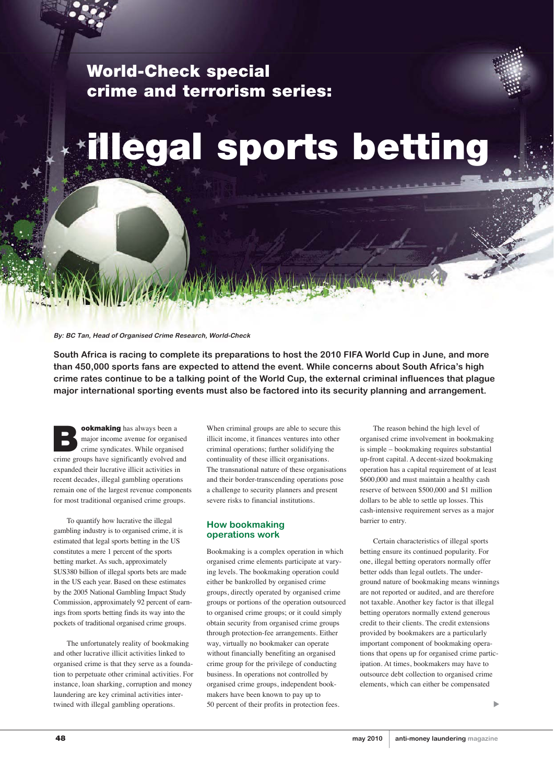**World-Check special crime and terrorism series:** 



## **illegal sports betting**

**By: BC Tan, Head of Organised Crime Research, World-Check**

**South Africa is racing to complete its preparations to host the 2010 FIFA World Cup in June, and more than 450,000 sports fans are expected to attend the event. While concerns about South Africa's high crime rates continue to be a talking point of the World Cup, the external criminal influences that plague major international sporting events must also be factored into its security planning and arrangement.** 

**Bookmaking** has always been a major income avenue for organise crime syndicates. While organised major income avenue for organised crime groups have significantly evolved and expanded their lucrative illicit activities in recent decades, illegal gambling operations remain one of the largest revenue components for most traditional organised crime groups.

To quantify how lucrative the illegal gambling industry is to organised crime, it is estimated that legal sports betting in the US constitutes a mere 1 percent of the sports betting market. As such, approximately \$US380 billion of illegal sports bets are made in the US each year. Based on these estimates by the 2005 National Gambling Impact Study Commission, approximately 92 percent of earnings from sports betting finds its way into the pockets of traditional organised crime groups.

The unfortunately reality of bookmaking and other lucrative illicit activities linked to organised crime is that they serve as a foundation to perpetuate other criminal activities. For instance, loan sharking, corruption and money laundering are key criminal activities intertwined with illegal gambling operations.

When criminal groups are able to secure this illicit income, it finances ventures into other criminal operations; further solidifying the continuality of these illicit organisations. The transnational nature of these organisations and their border-transcending operations pose a challenge to security planners and present severe risks to financial institutions.

## **How bookmaking operations work**

Bookmaking is a complex operation in which organised crime elements participate at varying levels. The bookmaking operation could either be bankrolled by organised crime groups, directly operated by organised crime groups or portions of the operation outsourced to organised crime groups; or it could simply obtain security from organised crime groups through protection-fee arrangements. Either way, virtually no bookmaker can operate without financially benefiting an organised crime group for the privilege of conducting business. In operations not controlled by organised crime groups, independent bookmakers have been known to pay up to 50 percent of their profits in protection fees.

The reason behind the high level of organised crime involvement in bookmaking is simple – bookmaking requires substantial up-front capital. A decent-sized bookmaking operation has a capital requirement of at least \$600,000 and must maintain a healthy cash reserve of between \$500,000 and \$1 million dollars to be able to settle up losses. This cash-intensive requirement serves as a major barrier to entry.

Certain characteristics of illegal sports betting ensure its continued popularity. For one, illegal betting operators normally offer better odds than legal outlets. The underground nature of bookmaking means winnings are not reported or audited, and are therefore not taxable. Another key factor is that illegal betting operators normally extend generous credit to their clients. The credit extensions provided by bookmakers are a particularly important component of bookmaking operations that opens up for organised crime participation. At times, bookmakers may have to outsource debt collection to organised crime elements, which can either be compensated